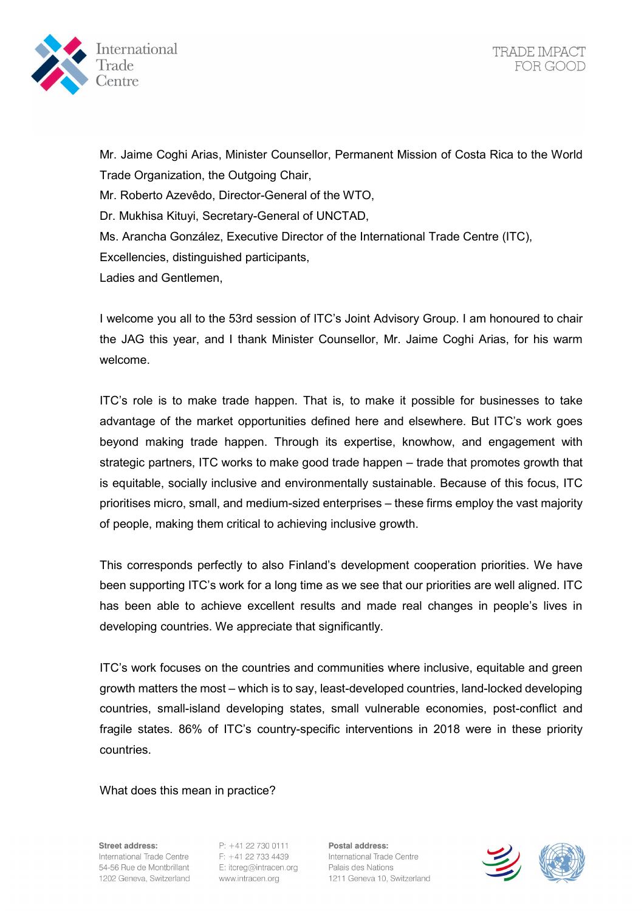

Mr. Jaime Coghi Arias, Minister Counsellor, Permanent Mission of Costa Rica to the World Trade Organization, the Outgoing Chair, Mr. Roberto Azevêdo, Director-General of the WTO, Dr. Mukhisa Kituyi, Secretary-General of UNCTAD, Ms. Arancha González, Executive Director of the International Trade Centre (ITC), Excellencies, distinguished participants, Ladies and Gentlemen,

I welcome you all to the 53rd session of ITC's Joint Advisory Group. I am honoured to chair the JAG this year, and I thank Minister Counsellor, Mr. Jaime Coghi Arias, for his warm welcome.

ITC's role is to make trade happen. That is, to make it possible for businesses to take advantage of the market opportunities defined here and elsewhere. But ITC's work goes beyond making trade happen. Through its expertise, knowhow, and engagement with strategic partners, ITC works to make good trade happen – trade that promotes growth that is equitable, socially inclusive and environmentally sustainable. Because of this focus, ITC prioritises micro, small, and medium-sized enterprises – these firms employ the vast majority of people, making them critical to achieving inclusive growth.

This corresponds perfectly to also Finland's development cooperation priorities. We have been supporting ITC's work for a long time as we see that our priorities are well aligned. ITC has been able to achieve excellent results and made real changes in people's lives in developing countries. We appreciate that significantly.

ITC's work focuses on the countries and communities where inclusive, equitable and green growth matters the most – which is to say, least-developed countries, land-locked developing countries, small-island developing states, small vulnerable economies, post-conflict and fragile states. 86% of ITC's country-specific interventions in 2018 were in these priority countries.

What does this mean in practice?

Street address: International Trade Centre 54-56 Rue de Montbrillant 1202 Geneva, Switzerland

P: +41 22 730 0111 F: +41 22 733 4439 F: +41 22 733 4439<br>E: itcreg@intracen.org<br>www.intracen.org www.intracen.org

Postal address: International Trade Centre Palais des Nations 1211 Geneva 10, Switzerland